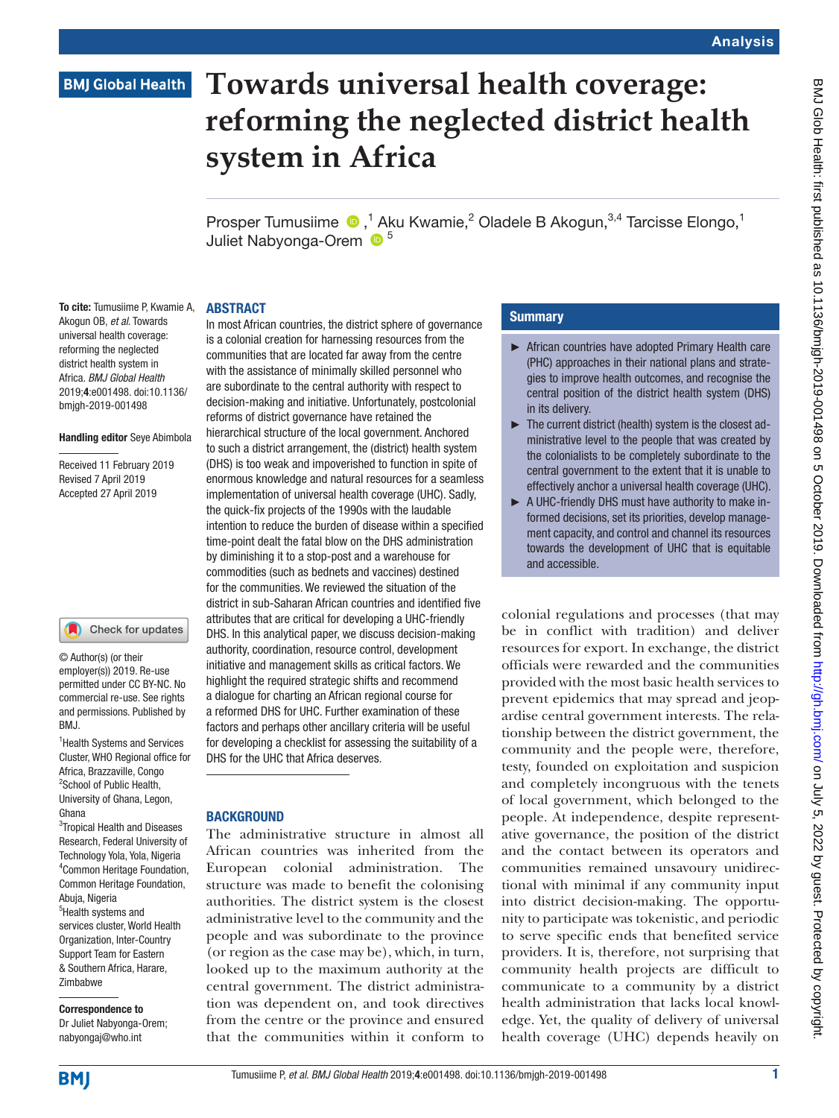# **BMJ Global Health**

# **Towards universal health coverage: reforming the neglected district health system in Africa**

Prosper Tumusiime  $\bullet$ ,<sup>1</sup> Aku Kwamie,<sup>2</sup> Oladele B Akogun,<sup>3,4</sup> Tarcisse Elongo,<sup>1</sup> **Summary** 

- ► African countries have adopted Primary Health care (PHC) approaches in their national plans and strategies to improve health outcomes, and recognise the central position of the district health system (DHS) in its delivery.
- ► The current district (health) system is the closest administrative level to the people that was created by the colonialists to be completely subordinate to the central government to the extent that it is unable to effectively anchor a universal health coverage (UHC).
- ► A UHC-friendly DHS must have authority to make informed decisions, set its priorities, develop management capacity, and control and channel its resources towards the development of UHC that is equitable and accessible.

colonial regulations and processes (that may be in conflict with tradition) and deliver resources for export. In exchange, the district officials were rewarded and the communities provided with the most basic health services to prevent epidemics that may spread and jeopardise central government interests. The relationship between the district government, the community and the people were, therefore, testy, founded on exploitation and suspicion and completely incongruous with the tenets of local government, which belonged to the people. At independence, despite representative governance, the position of the district and the contact between its operators and communities remained unsavoury unidirectional with minimal if any community input into district decision-making. The opportunity to participate was tokenistic, and periodic to serve specific ends that benefited service providers. It is, therefore, not surprising that community health projects are difficult to communicate to a community by a district health administration that lacks local knowledge. Yet, the quality of delivery of universal health coverage (UHC) depends heavily on

# **ABSTRACT**

Juliet Nabyonga-Orem <sup>65</sup>

To cite: Tumusiime P, Kwamie A, Akogun OB, *et al*. Towards universal health coverage: reforming the neglected district health system in Africa. *BMJ Global Health* 2019;4:e001498. doi:10.1136/ bmjgh-2019-001498

#### Handling editor Seye Abimbola

Received 11 February 2019 Revised 7 April 2019 Accepted 27 April 2019

#### Check for updates

© Author(s) (or their employer(s)) 2019. Re-use permitted under CC BY-NC. No commercial re-use. See rights and permissions. Published by BMJ.

<sup>1</sup> Health Systems and Services Cluster, WHO Regional office for Africa, Brazzaville, Congo <sup>2</sup>School of Public Health, University of Ghana, Legon, Ghana

<sup>3</sup>Tropical Health and Diseases Research, Federal University of Technology Yola, Yola, Nigeria 4 Common Heritage Foundation, Common Heritage Foundation, Abuja, Nigeria <sup>5</sup>Health systems and services cluster, World Health Organization, Inter-Country Support Team for Eastern & Southern Africa, Harare, Zimbabwe

Correspondence to Dr Juliet Nabyonga-Orem; nabyongaj@who.int

communities that are located far away from the centre with the assistance of minimally skilled personnel who are subordinate to the central authority with respect to decision-making and initiative. Unfortunately, postcolonial reforms of district governance have retained the hierarchical structure of the local government. Anchored to such a district arrangement, the (district) health system (DHS) is too weak and impoverished to function in spite of enormous knowledge and natural resources for a seamless implementation of universal health coverage (UHC). Sadly, the quick-fix projects of the 1990s with the laudable intention to reduce the burden of disease within a specified time-point dealt the fatal blow on the DHS administration by diminishing it to a stop-post and a warehouse for commodities (such as bednets and vaccines) destined for the communities. We reviewed the situation of the district in sub-Saharan African countries and identified five attributes that are critical for developing a UHC-friendly DHS. In this analytical paper, we discuss decision-making authority, coordination, resource control, development initiative and management skills as critical factors. We highlight the required strategic shifts and recommend a dialogue for charting an African regional course for a reformed DHS for UHC. Further examination of these factors and perhaps other ancillary criteria will be useful for developing a checklist for assessing the suitability of a DHS for the UHC that Africa deserves.

In most African countries, the district sphere of governance is a colonial creation for harnessing resources from the

# **BACKGROUND**

The administrative structure in almost all African countries was inherited from the European colonial administration. The structure was made to benefit the colonising authorities. The district system is the closest administrative level to the community and the people and was subordinate to the province (or region as the case may be), which, in turn, looked up to the maximum authority at the central government. The district administration was dependent on, and took directives from the centre or the province and ensured that the communities within it conform to

# **BMI**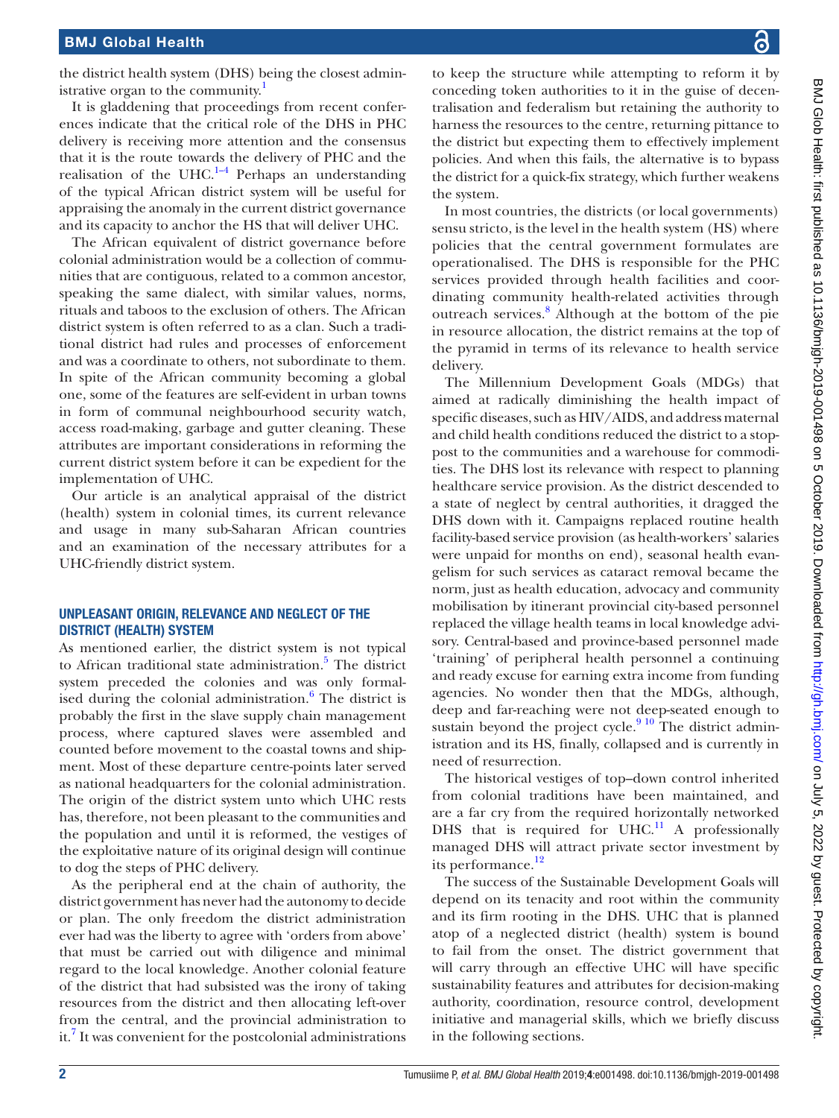the district health system (DHS) being the closest admin-istrative organ to the community.<sup>[1](#page-4-0)</sup>

It is gladdening that proceedings from recent conferences indicate that the critical role of the DHS in PHC delivery is receiving more attention and the consensus that it is the route towards the delivery of PHC and the realisation of the UHC. $^{1-4}$  Perhaps an understanding of the typical African district system will be useful for appraising the anomaly in the current district governance and its capacity to anchor the HS that will deliver UHC.

The African equivalent of district governance before colonial administration would be a collection of communities that are contiguous, related to a common ancestor, speaking the same dialect, with similar values, norms, rituals and taboos to the exclusion of others. The African district system is often referred to as a clan. Such a traditional district had rules and processes of enforcement and was a coordinate to others, not subordinate to them. In spite of the African community becoming a global one, some of the features are self-evident in urban towns in form of communal neighbourhood security watch, access road-making, garbage and gutter cleaning. These attributes are important considerations in reforming the current district system before it can be expedient for the implementation of UHC.

Our article is an analytical appraisal of the district (health) system in colonial times, its current relevance and usage in many sub-Saharan African countries and an examination of the necessary attributes for a UHC-friendly district system.

### Unpleasant origin, relevance and neglect of the district (health) system

As mentioned earlier, the district system is not typical to African traditional state administration.<sup>[5](#page-4-1)</sup> The district system preceded the colonies and was only formalised during the colonial administration. $6$  The district is probably the first in the slave supply chain management process, where captured slaves were assembled and counted before movement to the coastal towns and shipment. Most of these departure centre-points later served as national headquarters for the colonial administration. The origin of the district system unto which UHC rests has, therefore, not been pleasant to the communities and the population and until it is reformed, the vestiges of the exploitative nature of its original design will continue to dog the steps of PHC delivery.

As the peripheral end at the chain of authority, the district government has never had the autonomy to decide or plan. The only freedom the district administration ever had was the liberty to agree with 'orders from above' that must be carried out with diligence and minimal regard to the local knowledge. Another colonial feature of the district that had subsisted was the irony of taking resources from the district and then allocating left-over from the central, and the provincial administration to it.<sup>[7](#page-5-0)</sup> It was convenient for the postcolonial administrations to keep the structure while attempting to reform it by conceding token authorities to it in the guise of decentralisation and federalism but retaining the authority to harness the resources to the centre, returning pittance to the district but expecting them to effectively implement policies. And when this fails, the alternative is to bypass the district for a quick-fix strategy, which further weakens the system.

In most countries, the districts (or local governments) sensu stricto, is the level in the health system (HS) where policies that the central government formulates are operationalised. The DHS is responsible for the PHC services provided through health facilities and coordinating community health-related activities through outreach services.<sup>[8](#page-5-1)</sup> Although at the bottom of the pie in resource allocation, the district remains at the top of the pyramid in terms of its relevance to health service delivery.

The Millennium Development Goals (MDGs) that aimed at radically diminishing the health impact of specific diseases, such as HIV/AIDS, and address maternal and child health conditions reduced the district to a stoppost to the communities and a warehouse for commodities. The DHS lost its relevance with respect to planning healthcare service provision. As the district descended to a state of neglect by central authorities, it dragged the DHS down with it. Campaigns replaced routine health facility-based service provision (as health-workers' salaries were unpaid for months on end), seasonal health evangelism for such services as cataract removal became the norm, just as health education, advocacy and community mobilisation by itinerant provincial city-based personnel replaced the village health teams in local knowledge advisory. Central-based and province-based personnel made 'training' of peripheral health personnel a continuing and ready excuse for earning extra income from funding agencies. No wonder then that the MDGs, although, deep and far-reaching were not deep-seated enough to sustain beyond the project cycle. $910$  The district administration and its HS, finally, collapsed and is currently in need of resurrection.

The historical vestiges of top–down control inherited from colonial traditions have been maintained, and are a far cry from the required horizontally networked DHS that is required for  $UHC<sup>11</sup>$  A professionally managed DHS will attract private sector investment by its performance.<sup>[12](#page-5-4)</sup>

The success of the Sustainable Development Goals will depend on its tenacity and root within the community and its firm rooting in the DHS. UHC that is planned atop of a neglected district (health) system is bound to fail from the onset. The district government that will carry through an effective UHC will have specific sustainability features and attributes for decision-making authority, coordination, resource control, development initiative and managerial skills, which we briefly discuss in the following sections.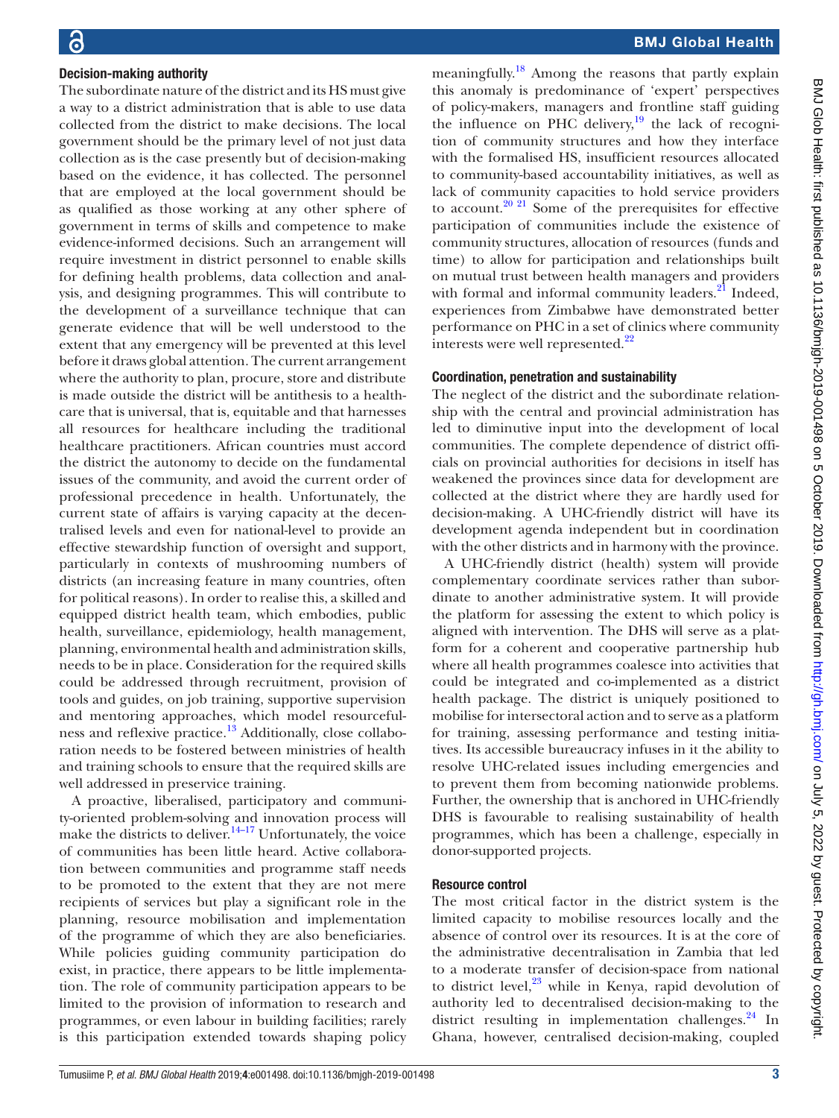#### Decision-making authority

The subordinate nature of the district and its HS must give a way to a district administration that is able to use data collected from the district to make decisions. The local government should be the primary level of not just data collection as is the case presently but of decision-making based on the evidence, it has collected. The personnel that are employed at the local government should be as qualified as those working at any other sphere of government in terms of skills and competence to make evidence-informed decisions. Such an arrangement will require investment in district personnel to enable skills for defining health problems, data collection and analysis, and designing programmes. This will contribute to the development of a surveillance technique that can generate evidence that will be well understood to the extent that any emergency will be prevented at this level before it draws global attention. The current arrangement where the authority to plan, procure, store and distribute is made outside the district will be antithesis to a healthcare that is universal, that is, equitable and that harnesses all resources for healthcare including the traditional healthcare practitioners. African countries must accord the district the autonomy to decide on the fundamental issues of the community, and avoid the current order of professional precedence in health. Unfortunately, the current state of affairs is varying capacity at the decentralised levels and even for national-level to provide an effective stewardship function of oversight and support, particularly in contexts of mushrooming numbers of districts (an increasing feature in many countries, often for political reasons). In order to realise this, a skilled and equipped district health team, which embodies, public health, surveillance, epidemiology, health management, planning, environmental health and administration skills, needs to be in place. Consideration for the required skills could be addressed through recruitment, provision of tools and guides, on job training, supportive supervision and mentoring approaches, which model resourcefulness and reflexive practice.<sup>13</sup> Additionally, close collaboration needs to be fostered between ministries of health and training schools to ensure that the required skills are well addressed in preservice training.

A proactive, liberalised, participatory and community-oriented problem-solving and innovation process will make the districts to deliver.<sup>14–17</sup> Unfortunately, the voice of communities has been little heard. Active collaboration between communities and programme staff needs to be promoted to the extent that they are not mere recipients of services but play a significant role in the planning, resource mobilisation and implementation of the programme of which they are also beneficiaries. While policies guiding community participation do exist, in practice, there appears to be little implementation. The role of community participation appears to be limited to the provision of information to research and programmes, or even labour in building facilities; rarely is this participation extended towards shaping policy

meaningfully[.18](#page-5-7) Among the reasons that partly explain this anomaly is predominance of 'expert' perspectives of policy-makers, managers and frontline staff guiding the influence on PHC delivery, $\frac{19}{19}$  the lack of recognition of community structures and how they interface with the formalised HS, insufficient resources allocated to community-based accountability initiatives, as well as lack of community capacities to hold service providers to account.<sup>20 21</sup> Some of the prerequisites for effective participation of communities include the existence of community structures, allocation of resources (funds and time) to allow for participation and relationships built on mutual trust between health managers and providers with formal and informal community leaders.<sup>21</sup> Indeed, experiences from Zimbabwe have demonstrated better performance on PHC in a set of clinics where community interests were well represented.<sup>[22](#page-5-11)</sup>

#### Coordination, penetration and sustainability

The neglect of the district and the subordinate relationship with the central and provincial administration has led to diminutive input into the development of local communities. The complete dependence of district officials on provincial authorities for decisions in itself has weakened the provinces since data for development are collected at the district where they are hardly used for decision-making. A UHC-friendly district will have its development agenda independent but in coordination with the other districts and in harmony with the province.

A UHC-friendly district (health) system will provide complementary coordinate services rather than subordinate to another administrative system. It will provide the platform for assessing the extent to which policy is aligned with intervention. The DHS will serve as a platform for a coherent and cooperative partnership hub where all health programmes coalesce into activities that could be integrated and co-implemented as a district health package. The district is uniquely positioned to mobilise for intersectoral action and to serve as a platform for training, assessing performance and testing initiatives. Its accessible bureaucracy infuses in it the ability to resolve UHC-related issues including emergencies and to prevent them from becoming nationwide problems. Further, the ownership that is anchored in UHC-friendly DHS is favourable to realising sustainability of health programmes, which has been a challenge, especially in donor-supported projects.

#### Resource control

The most critical factor in the district system is the limited capacity to mobilise resources locally and the absence of control over its resources. It is at the core of the administrative decentralisation in Zambia that led to a moderate transfer of decision-space from national to district level, $^{23}$  while in Kenya, rapid devolution of authority led to decentralised decision-making to the district resulting in implementation challenges. $^{24}$  In Ghana, however, centralised decision-making, coupled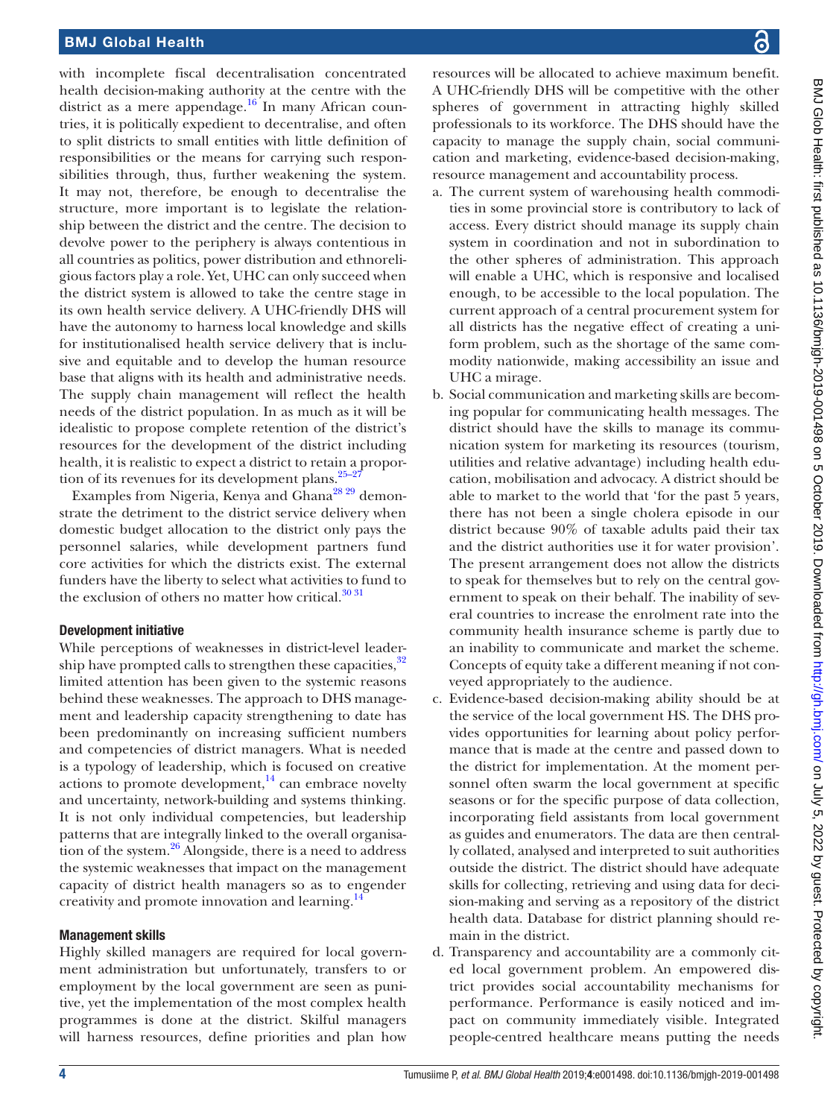# BMJ Global Health

with incomplete fiscal decentralisation concentrated health decision-making authority at the centre with the district as a mere appendage.<sup>[16](#page-5-14)</sup> In many African countries, it is politically expedient to decentralise, and often to split districts to small entities with little definition of responsibilities or the means for carrying such responsibilities through, thus, further weakening the system. It may not, therefore, be enough to decentralise the structure, more important is to legislate the relationship between the district and the centre. The decision to devolve power to the periphery is always contentious in all countries as politics, power distribution and ethnoreligious factors play a role. Yet, UHC can only succeed when the district system is allowed to take the centre stage in its own health service delivery. A UHC-friendly DHS will have the autonomy to harness local knowledge and skills for institutionalised health service delivery that is inclusive and equitable and to develop the human resource base that aligns with its health and administrative needs. The supply chain management will reflect the health needs of the district population. In as much as it will be idealistic to propose complete retention of the district's resources for the development of the district including health, it is realistic to expect a district to retain a proportion of its revenues for its development plans. $25-27$ 

Examples from Nigeria, Kenya and Ghana<sup>[28 29](#page-5-16)</sup> demonstrate the detriment to the district service delivery when domestic budget allocation to the district only pays the personnel salaries, while development partners fund core activities for which the districts exist. The external funders have the liberty to select what activities to fund to the exclusion of others no matter how critical. $3031$ 

# Development initiative

While perceptions of weaknesses in district-level leader-ship have prompted calls to strengthen these capacities,<sup>[32](#page-5-18)</sup> limited attention has been given to the systemic reasons behind these weaknesses. The approach to DHS management and leadership capacity strengthening to date has been predominantly on increasing sufficient numbers and competencies of district managers. What is needed is a typology of leadership, which is focused on creative actions to promote development, $14$  can embrace novelty and uncertainty, network-building and systems thinking. It is not only individual competencies, but leadership patterns that are integrally linked to the overall organisation of the system. $26$  Alongside, there is a need to address the systemic weaknesses that impact on the management capacity of district health managers so as to engender creativity and promote innovation and learning[.14](#page-5-6)

#### Management skills

Highly skilled managers are required for local government administration but unfortunately, transfers to or employment by the local government are seen as punitive, yet the implementation of the most complex health programmes is done at the district. Skilful managers will harness resources, define priorities and plan how

BMJ Glob Health: first published as 10.1136/bmjgh-2019-001498 on 5 October 2019. Downloaded from http://gh.bmj.com/ on July 5, 2022 by guest. Protected by copyright BMJ Glob Health: first published as 10.1136/bmjgh-2019-001498 on 5 October 2019. Downloaded from <http://gh.bmj.com/> on July 5, 2022 by guest. Protected by copyright

resources will be allocated to achieve maximum benefit. A UHC-friendly DHS will be competitive with the other spheres of government in attracting highly skilled professionals to its workforce. The DHS should have the capacity to manage the supply chain, social communication and marketing, evidence-based decision-making, resource management and accountability process.

- a. The current system of warehousing health commodities in some provincial store is contributory to lack of access. Every district should manage its supply chain system in coordination and not in subordination to the other spheres of administration. This approach will enable a UHC, which is responsive and localised enough, to be accessible to the local population. The current approach of a central procurement system for all districts has the negative effect of creating a uniform problem, such as the shortage of the same commodity nationwide, making accessibility an issue and UHC a mirage.
- b. Social communication and marketing skills are becoming popular for communicating health messages. The district should have the skills to manage its communication system for marketing its resources (tourism, utilities and relative advantage) including health education, mobilisation and advocacy. A district should be able to market to the world that 'for the past 5 years, there has not been a single cholera episode in our district because 90% of taxable adults paid their tax and the district authorities use it for water provision'. The present arrangement does not allow the districts to speak for themselves but to rely on the central government to speak on their behalf. The inability of several countries to increase the enrolment rate into the community health insurance scheme is partly due to an inability to communicate and market the scheme. Concepts of equity take a different meaning if not conveyed appropriately to the audience.
- c. Evidence-based decision-making ability should be at the service of the local government HS. The DHS provides opportunities for learning about policy performance that is made at the centre and passed down to the district for implementation. At the moment personnel often swarm the local government at specific seasons or for the specific purpose of data collection, incorporating field assistants from local government as guides and enumerators. The data are then centrally collated, analysed and interpreted to suit authorities outside the district. The district should have adequate skills for collecting, retrieving and using data for decision-making and serving as a repository of the district health data. Database for district planning should remain in the district.
- d. Transparency and accountability are a commonly cited local government problem. An empowered district provides social accountability mechanisms for performance. Performance is easily noticed and impact on community immediately visible. Integrated people-centred healthcare means putting the needs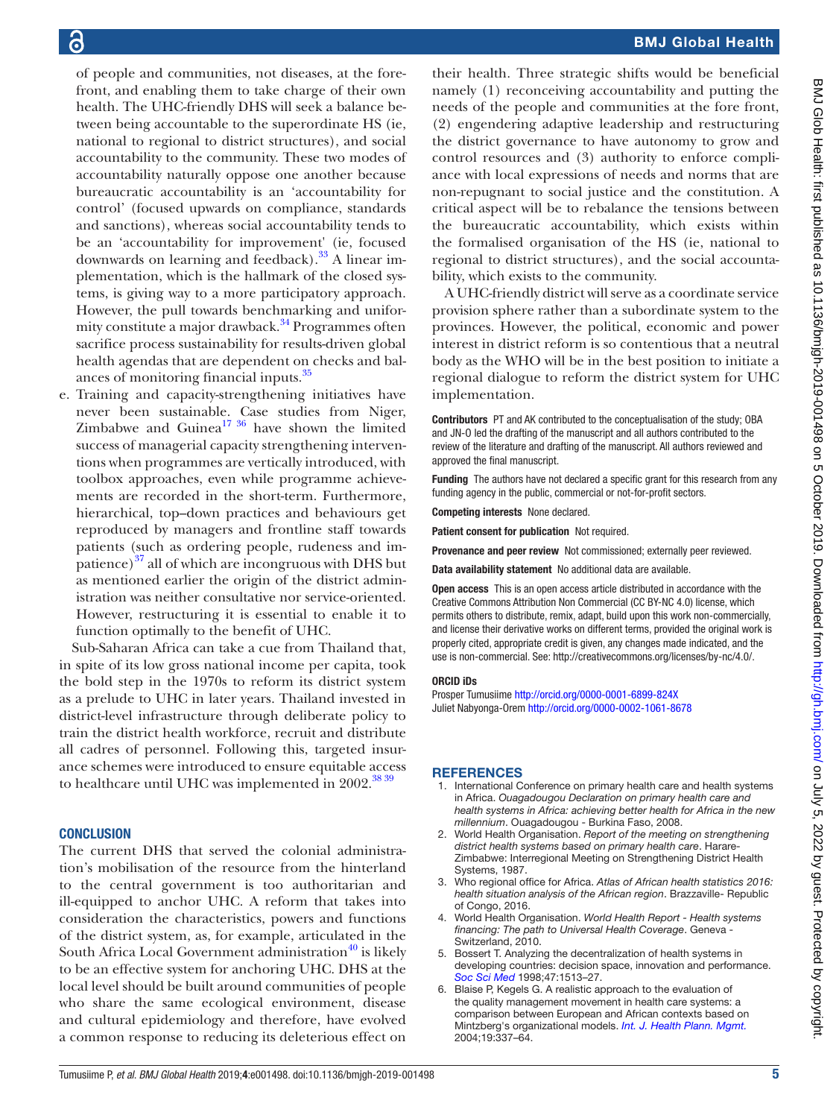of people and communities, not diseases, at the forefront, and enabling them to take charge of their own health. The UHC-friendly DHS will seek a balance between being accountable to the superordinate HS (ie, national to regional to district structures), and social accountability to the community. These two modes of accountability naturally oppose one another because bureaucratic accountability is an 'accountability for control' (focused upwards on compliance, standards and sanctions), whereas social accountability tends to be an 'accountability for improvement' (ie, focused downwards on learning and feedback).<sup>33</sup> A linear implementation, which is the hallmark of the closed systems, is giving way to a more participatory approach. However, the pull towards benchmarking and uniformity constitute a major drawback.<sup>34</sup> Programmes often sacrifice process sustainability for results-driven global health agendas that are dependent on checks and balances of monitoring financial inputs.[35](#page-5-22)

e. Training and capacity-strengthening initiatives have never been sustainable. Case studies from Niger, Zimbabwe and Guinea<sup>17 36</sup> have shown the limited success of managerial capacity strengthening interventions when programmes are vertically introduced, with toolbox approaches, even while programme achievements are recorded in the short-term. Furthermore, hierarchical, top–down practices and behaviours get reproduced by managers and frontline staff towards patients (such as ordering people, rudeness and impatience) $37$  all of which are incongruous with DHS but as mentioned earlier the origin of the district administration was neither consultative nor service-oriented. However, restructuring it is essential to enable it to function optimally to the benefit of UHC.

Sub-Saharan Africa can take a cue from Thailand that, in spite of its low gross national income per capita, took the bold step in the 1970s to reform its district system as a prelude to UHC in later years. Thailand invested in district-level infrastructure through deliberate policy to train the district health workforce, recruit and distribute all cadres of personnel. Following this, targeted insurance schemes were introduced to ensure equitable access to healthcare until UHC was implemented in  $2002.^{38\,39}$ 

# **CONCLUSION**

The current DHS that served the colonial administration's mobilisation of the resource from the hinterland to the central government is too authoritarian and ill-equipped to anchor UHC. A reform that takes into consideration the characteristics, powers and functions of the district system, as, for example, articulated in the South Africa Local Government administration $40$  is likely to be an effective system for anchoring UHC. DHS at the local level should be built around communities of people who share the same ecological environment, disease and cultural epidemiology and therefore, have evolved a common response to reducing its deleterious effect on

their health. Three strategic shifts would be beneficial namely (1) reconceiving accountability and putting the needs of the people and communities at the fore front, (2) engendering adaptive leadership and restructuring the district governance to have autonomy to grow and control resources and (3) authority to enforce compliance with local expressions of needs and norms that are non-repugnant to social justice and the constitution. A critical aspect will be to rebalance the tensions between the bureaucratic accountability, which exists within the formalised organisation of the HS (ie, national to regional to district structures), and the social accountability, which exists to the community.

A UHC-friendly district will serve as a coordinate service provision sphere rather than a subordinate system to the provinces. However, the political, economic and power interest in district reform is so contentious that a neutral body as the WHO will be in the best position to initiate a regional dialogue to reform the district system for UHC implementation.

Contributors PT and AK contributed to the conceptualisation of the study; OBA and JN-O led the drafting of the manuscript and all authors contributed to the review of the literature and drafting of the manuscript. All authors reviewed and approved the final manuscript.

Funding The authors have not declared a specific grant for this research from any funding agency in the public, commercial or not-for-profit sectors.

Competing interests None declared.

Patient consent for publication Not required.

Provenance and peer review Not commissioned; externally peer reviewed.

Data availability statement No additional data are available.

Open access This is an open access article distributed in accordance with the Creative Commons Attribution Non Commercial (CC BY-NC 4.0) license, which permits others to distribute, remix, adapt, build upon this work non-commercially, and license their derivative works on different terms, provided the original work is properly cited, appropriate credit is given, any changes made indicated, and the use is non-commercial. See: <http://creativecommons.org/licenses/by-nc/4.0/>.

#### ORCID iDs

Prosper Tumusiime <http://orcid.org/0000-0001-6899-824X> Juliet Nabyonga-Orem<http://orcid.org/0000-0002-1061-8678>

#### **REFERENCES**

- <span id="page-4-0"></span>1. International Conference on primary health care and health systems in Africa. *Ouagadougou Declaration on primary health care and health systems in Africa: achieving better health for Africa in the new millennium*. Ouagadougou - Burkina Faso, 2008.
- 2. World Health Organisation. *Report of the meeting on strengthening district health systems based on primary health care*. Harare-Zimbabwe: Interregional Meeting on Strengthening District Health Systems, 1987.
- 3. Who regional office for Africa. *Atlas of African health statistics 2016: health situation analysis of the African region*. Brazzaville- Republic of Congo, 2016.
- 4. World Health Organisation. *World Health Report Health systems financing: The path to Universal Health Coverage*. Geneva - Switzerland, 2010.
- <span id="page-4-1"></span>5. Bossert T. Analyzing the decentralization of health systems in developing countries: decision space, innovation and performance. *[Soc Sci Med](http://dx.doi.org/10.1016/S0277-9536(98)00234-2)* 1998;47:1513–27.
- <span id="page-4-2"></span>6. Blaise P, Kegels G. A realistic approach to the evaluation of the quality management movement in health care systems: a comparison between European and African contexts based on Mintzberg's organizational models. *[Int. J. Health Plann. Mgmt.](http://dx.doi.org/10.1002/hpm.769)* 2004;19:337–64.